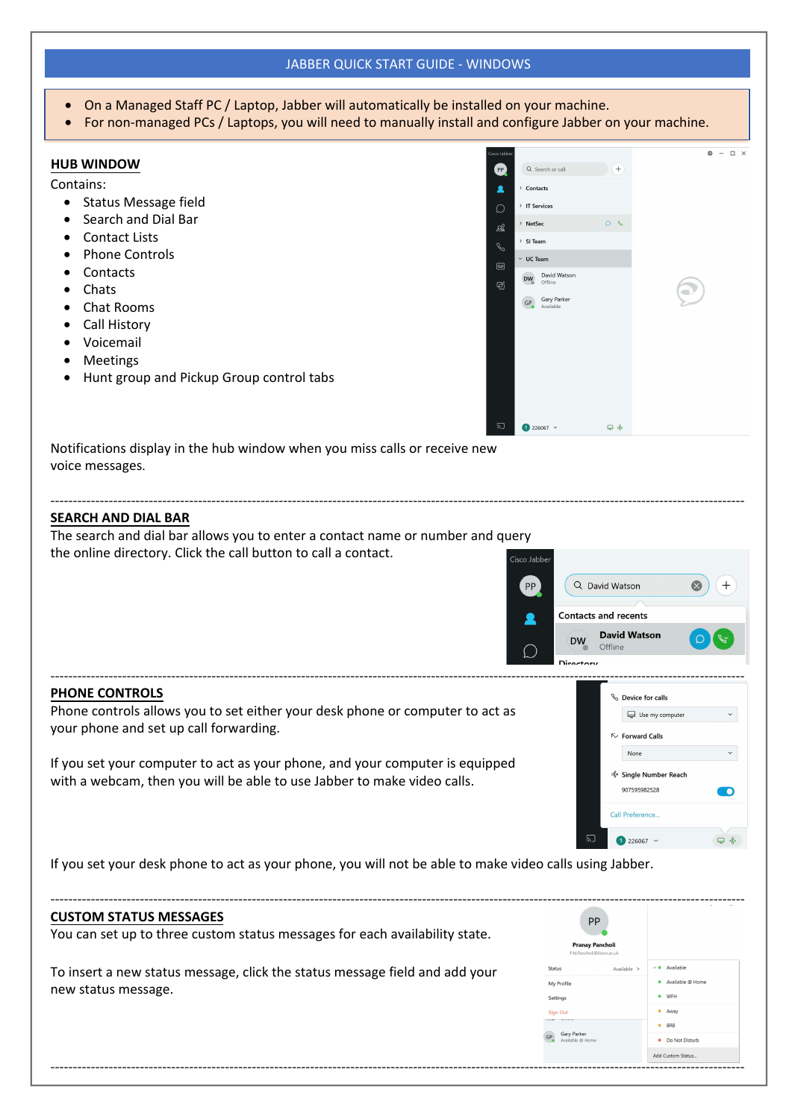# JABBER QUICK START GUIDE - WINDOWS

- On a Managed Staff PC / Laptop, Jabber will automatically be installed on a Managed Staff PC / Laptop, Jabber
- For non-managed PCs / Laptops, you will need to manually install

-----------------------------------------------------------------------------------------------------------------------------------------------------------

#### **HUB WINDOW**

Contains:

- Status Message field
- Search and Dial Bar
- Contact Lists
- Phone Controls
- Contacts
- Chats
- Chat Rooms
- Call History
- Voicemail
- Meetings
- H[unt group and Pickup Group control tabs](https://www.google.com/settings/takeout)

|                                                               | alled on your machine.<br>and configure Jabber on your machine.                                                                                                        |           |                                                      |  |  |  |  |  |  |
|---------------------------------------------------------------|------------------------------------------------------------------------------------------------------------------------------------------------------------------------|-----------|------------------------------------------------------|--|--|--|--|--|--|
| Cisco Jabber<br>PP<br>2<br>Ω<br>ക്<br>$\mathscr{S}$<br>画<br>ø | Q Search or call<br>> Contacts<br>> IT Services<br>> NetSec<br>> SI Team<br>$~\vee~$ UC Team<br>David Watson<br><b>DW</b><br>Offline<br>Gary Parker<br>GP<br>Available | $+$<br>06 | $\square$ $\times$<br>ø.<br>$\overline{\phantom{a}}$ |  |  |  |  |  |  |
| 辺                                                             | $1226067$ $\sim$                                                                                                                                                       | $\Box$    |                                                      |  |  |  |  |  |  |

Notifications display in the hub window when you miss calls or receive new voice messages.

# **SEARCH AND DIAL BAR**

The search and dial bar allows you to enter a contact name or number and query the online directory. Click the call button to call a contact.



#### **PHONE CONTROLS**

Phone controls allows you to set either your desk phone or computer to act as your phone and set up call forwarding.

If you set your computer to act as your phone, and your computer is equipped with a webcam, then you will be able to use Jabber to make video calls.



If you set your desk phone to act as your phone, you will not be able to make video calls using Jabber.

#### **CUSTOM STATUS MESSAGES**

| <b>CUSTOM STATUS MESSAGES</b><br>You can set up to three custom status messages for each availability state. | PP<br>Pranay Pancholi<br>P.M.Pancholi@lboro.ac.uk           |                                                                   |
|--------------------------------------------------------------------------------------------------------------|-------------------------------------------------------------|-------------------------------------------------------------------|
| To insert a new status message, click the status message field and add your<br>new status message.           | Status<br>Available ><br>My Profile<br>Settings<br>Sign Out | Available<br>$\sim$ 40 $-$<br>Available @ Home<br>· WFH<br>· Away |
|                                                                                                              | Gary Parker<br>Available @ Home                             | BRB<br>• Do Not Disturb<br>Add Custom Status                      |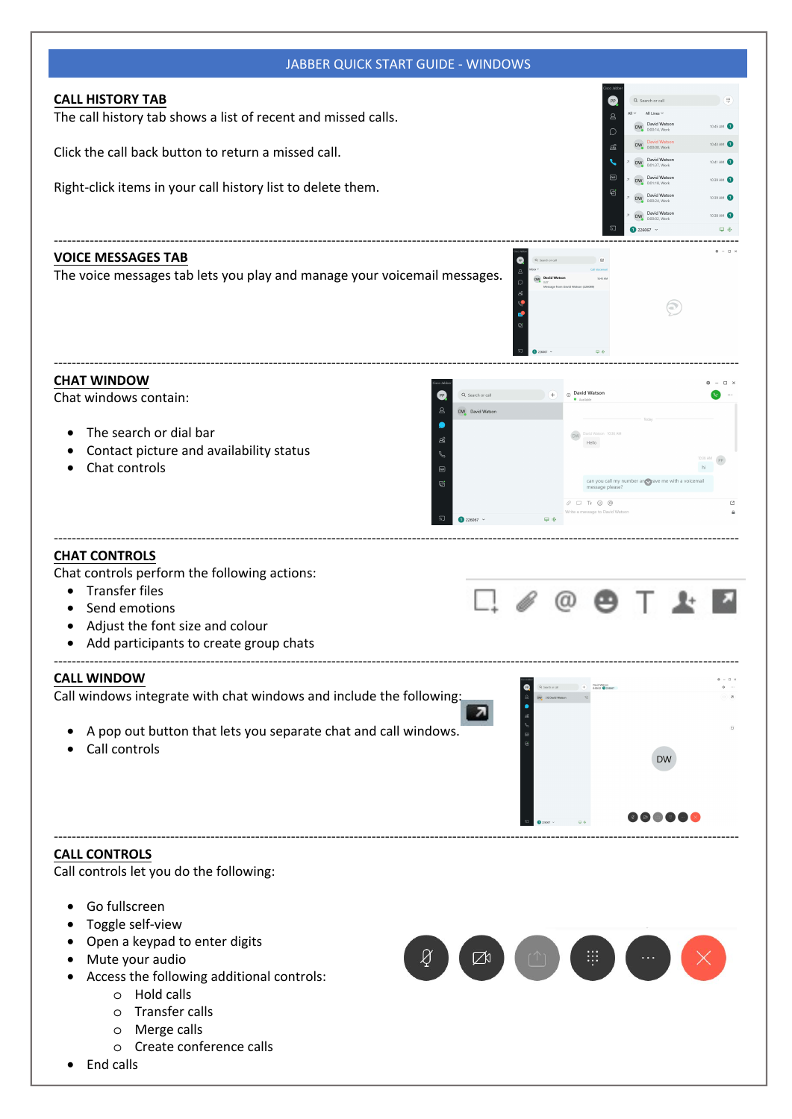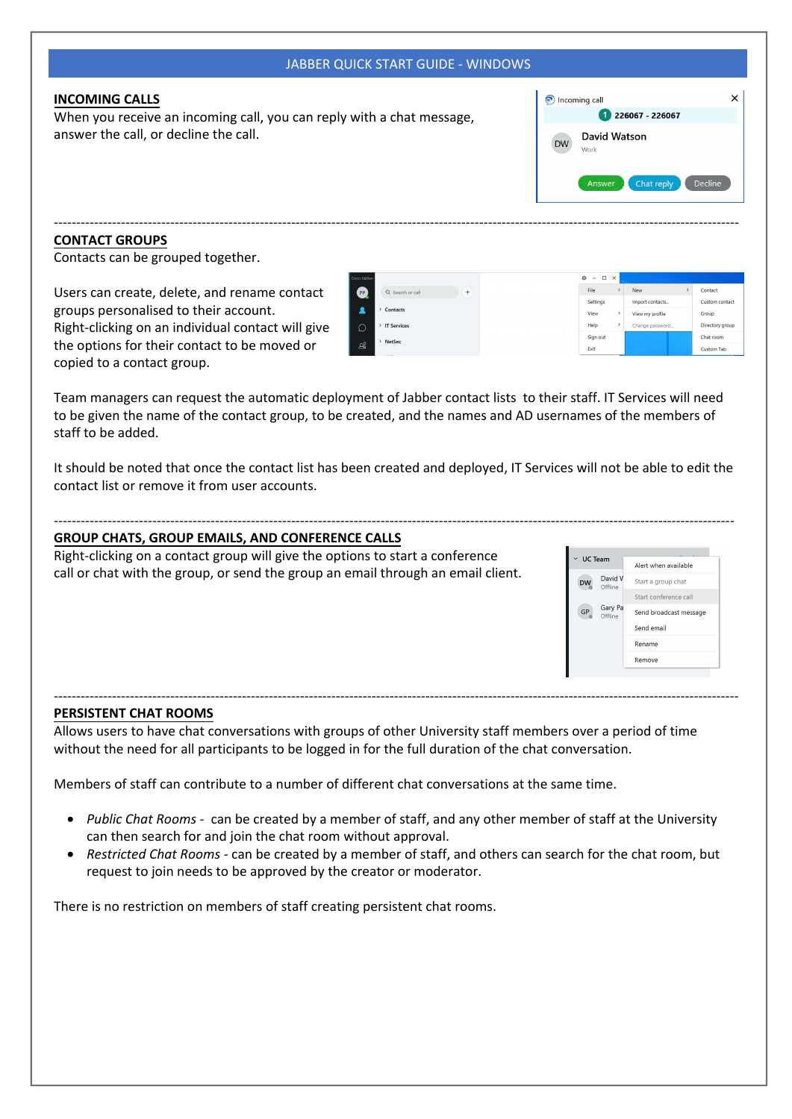| <b>JABBER QUICK START GUIDE - WINDOWS</b>                                                                                                                                                                                                                                                           |                                                                                                                                                                                                                           |
|-----------------------------------------------------------------------------------------------------------------------------------------------------------------------------------------------------------------------------------------------------------------------------------------------------|---------------------------------------------------------------------------------------------------------------------------------------------------------------------------------------------------------------------------|
| <b>INCOMING CALLS</b><br>When you receive an incoming call, you can reply with a chat message,<br>answer the call, or decline the call.                                                                                                                                                             | lncoming call<br>226067 - 226067<br>David Watson<br><b>DW</b><br>Work<br>Chat reply<br>Decline<br>Answer                                                                                                                  |
| <b>CONTACT GROUPS</b><br>Contacts can be grouped together.                                                                                                                                                                                                                                          |                                                                                                                                                                                                                           |
| Users can create, delete, and rename contact<br>PP<br>Q Search or call<br>groups personalised to their account.<br>∙<br>Contacts<br>Right-clicking on an individual contact will give<br>> IT Services<br>Ω<br>NetSec<br>the options for their contact to be moved or<br>copied to a contact group. | $\Box$<br><b>New</b><br>Contact<br>Settings<br>Import contacts.<br>Custom contact<br>View<br>View my profile<br>Group<br>Help<br>Directory group<br>Change password<br>Sign out<br>Chat room<br>Exit<br><b>Custom Tab</b> |
| Team managers can request the automatic deployment of Jabber contact lists to their staff. IT Services will need<br>to be given the name of the contact group, to be created, and the names and AD usernames of the members of<br>staff to be added.                                                |                                                                                                                                                                                                                           |
| It should be noted that once the contact list has been created and deployed, IT Services will not be able to edit the<br>contact list or remove it from user accounts.                                                                                                                              |                                                                                                                                                                                                                           |
| <b>GROUP CHATS, GROUP EMAILS, AND CONFERENCE CALLS</b>                                                                                                                                                                                                                                              |                                                                                                                                                                                                                           |
| Right-clicking on a contact group will give the options to start a conference<br>call or chat with the group, or send the group an email through an email client.                                                                                                                                   | $\times$ UC Team<br>Alert when available<br>David V<br>Start a group chat<br><b>DW</b><br>Offline<br>Start conference call<br>Gary Pa<br>GP<br>Send broadcast message<br>Offline<br>Send email<br>Rename                  |

Members of staff can contribute to a number of different chat conversations at the same time.

- *Public Chat Rooms* can be created by a member of staff, and any other member of staff at the University can then search for and join the chat room without approval.
- *Restricted Chat Rooms* can be created by a member of staff, and others can search for the chat room, but request to join needs to be approved by the creator or moderator.

There is no restriction on members of staff creating persistent chat rooms.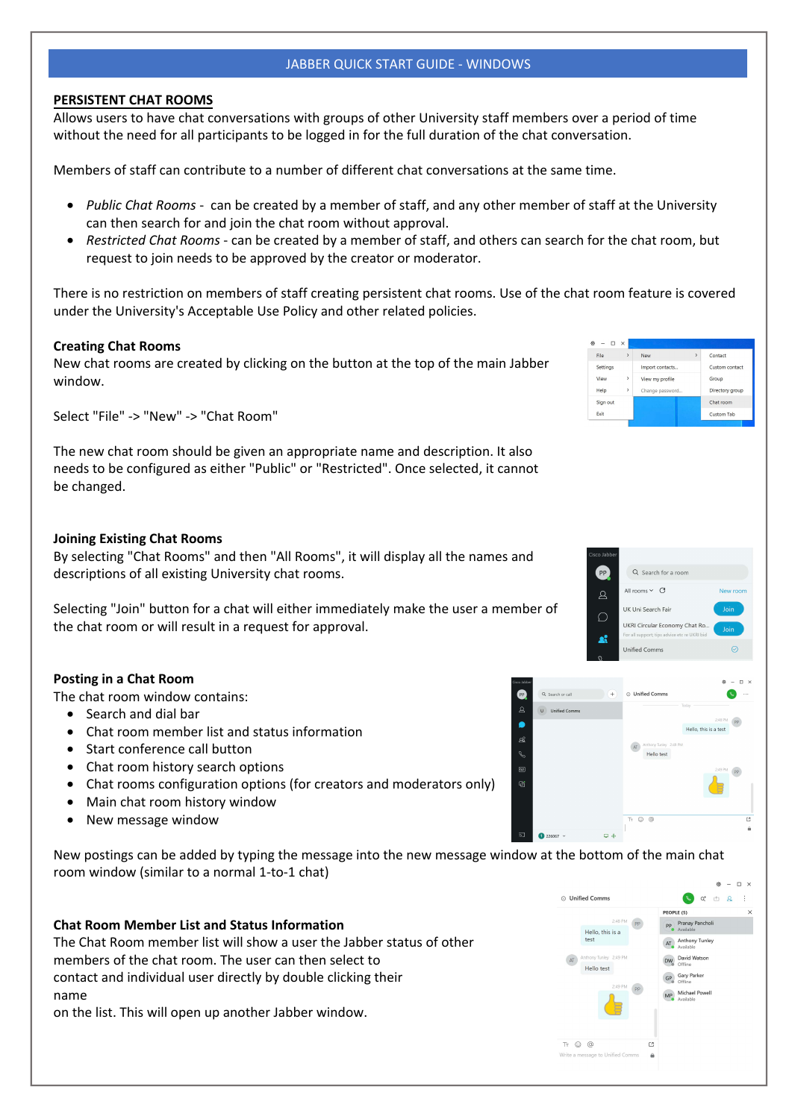# JABBER QUICK START GUIDE - WINDOWS

#### **PERSISTENT CHAT ROOMS**

Allows users to have chat conversations with groups of other University staff members over a period of time without the need for all participants to be logged in for the full duration of the chat conversation.

Members of staff can contribute to a number of different chat conversations at the same time.

- *Public Chat Rooms* can be created by a member of staff, and any other member of staff at the University can then search for and join the chat room without approval.
- *Restricted Chat Rooms* can be created by a member of staff, and others can search for the chat room, but request to join needs to be approved by the creator or moderator.

There is no restriction on members of staff creating persistent chat rooms. Use of the chat room feature is covered under the University's Acceptable Use Policy and other related policies.

# **Creating Chat Rooms**

New chat rooms are created by clicking on the button at the top of the main Jabber window.

Select "File" -> "New" -> "Chat Room"

The new chat room should be given an appropriate name and description. It also needs to be configured as either "Public" or "Restricted". Once selected, it cannot be changed.

# **Joining Existing Chat Rooms**

By selecting "Chat Rooms" and then "All Rooms", it will display all the names and descriptions of all existing University chat rooms.

Selecting "Join" button for a chat will either immediately make the user a member of the chat room or will result in a request for approval.

#### **Posting in a Chat Room**

The chat room window contains:

- Search and dial bar
- Chat room member list and status information
- Start conference call button
- Chat room history search options
- Chat rooms configuration options (for creators and moderators only)
- Main chat room history window
- New message window

New postings can be added by typing the message into the new message window at the bottom of the main chat room window (similar to a normal 1-to-1 chat)

# **Chat Room Member List and Status Information** The Chat Room member list will show a user the Jabber status of other members of the chat room. The user can then select to contact and individual user directly by double clicking their name on the list. This will open up another Jabber window.



 $\Box$ File

Import contacts.

View my profile

Q Search for a room All rooms  $\sim$   $\sigma$ 

UKRI Circular Economy Chat Ro.

UK Uni Search Fair

**Unified Comms** 

O Unified Comm

AT Hello test

 $\sqrt{a}$ 

Change p

Settings

View

Help

Exit

Sign out

<sup>®</sup>

 $\Omega$ 

 $\mathcal{Q}$ 

a.

 $\sqrt{+}$ 

 $\bullet$ 

 $\alpha$ 

 $\bullet$ 

ෂ

 $\overline{a}$  $\sigma$  Q Search or call

**The Holfred Common** 

Contact

Group

Custom contact

Directory group

Chat room

Custom Tab

 $\sim$  10  $\mu$ 

 $^{M}$  (PP

 $\overline{P}$ 

Hello, this is a test